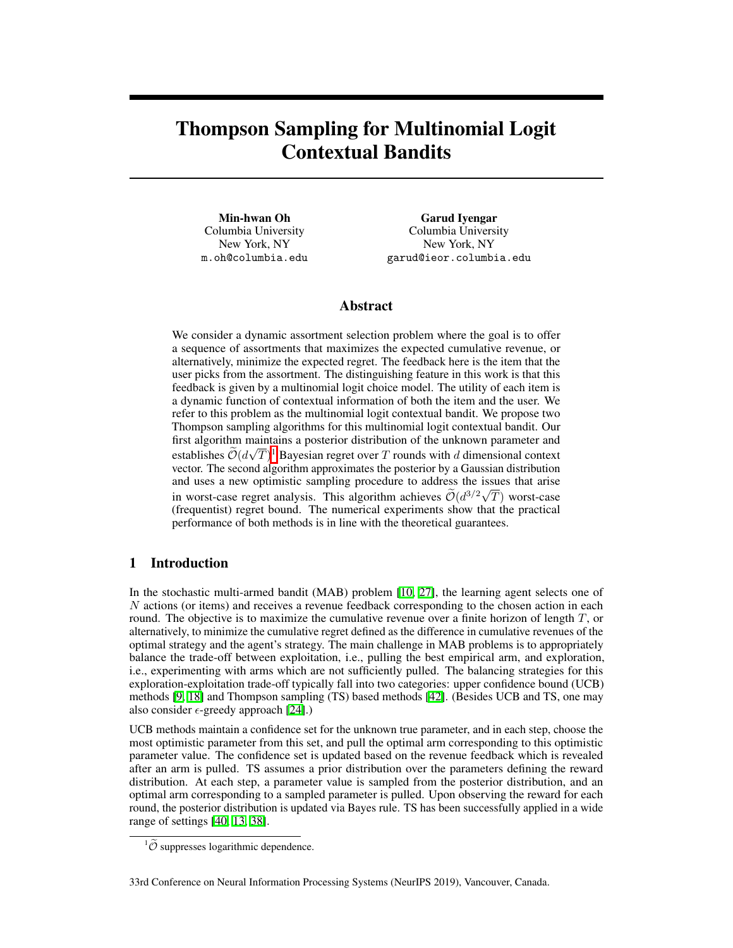# <span id="page-0-3"></span><span id="page-0-1"></span>Thompson Sampling for Multinomial Logit Contextual Bandits

Min-hwan Oh Columbia University New York, NY m.oh@columbia.edu

Garud Iyengar Columbia University New York, NY garud@ieor.columbia.edu

## Abstract

We consider a dynamic assortment selection problem where the goal is to offer a sequence of assortments that maximizes the expected cumulative revenue, or alternatively, minimize the expected regret. The feedback here is the item that the user picks from the assortment. The distinguishing feature in this work is that this feedback is given by a multinomial logit choice model. The utility of each item is a dynamic function of contextual information of both the item and the user. We refer to this problem as the multinomial logit contextual bandit. We propose two Thompson sampling algorithms for this multinomial logit contextual bandit. Our first algorithm maintains a posterior distribution of the unknown parameter and establishes  $\widetilde{\mathcal{O}}(d\sqrt{T})$  Bayesian regret over *T* rounds with *d* dimensional context vector. The second algorithm approximates the posterior by a Gaussian distribution and uses a new optimistic sampling procedure to address the issues that arise in worst-case regret analysis. This algorithm achieves  $\widetilde{\mathcal{O}}(d^{3/2}\sqrt{T})$  worst-case (frequentist) regret bound. The numerical experiments show that the practical performance of both methods is in line with the theoretical guarantees.

# 1 Introduction

<span id="page-0-2"></span>In the stochastic multi-armed bandit (MAB) problem  $\Box$  [\[10,](#page-9-0) [27\]](#page-10-0), the learning agent selects one of *N* actions (or items) and receives a revenue feedback corresponding to the chosen action in each round. The objective is to maximize the cumulative revenue over a finite horizon of length *T*, or alternatively, to minimize the cumulative regret defined as the difference in cumulative revenues of the optimal strategy and the agent's strategy. The main challenge in MAB problems is to appropriately balance the trade-off between exploitation, i.e., pulling the best empirical arm, and exploration, i.e., experimenting with arms which are not sufficiently pulled. The balancing strategies for this exploration-exploitation trade-off typically fall into two categories: upper confidence bound (UCB) methods  $[9, 18]$  $[9, 18]$  $[9, 18]$  and Thompson sampling (TS) based methods  $[42]$ . (Besides UCB and TS, one may also consider  $\epsilon$ -greedy approach [\[24\]](#page-10-2).)

UCB methods maintain a confidence set for the unknown true parameter, and in each step, choose the most optimistic parameter from this set, and pull the optimal arm corresponding to this optimistic parameter value. The confidence set is updated based on the revenue feedback which is revealed after an arm is pulled. TS assumes a prior distribution over the parameters defining the reward distribution. At each step, a parameter value is sampled from the posterior distribution, and an optimal arm corresponding to a sampled parameter is pulled. Upon observing the reward for each round, the posterior distribution is updated via Bayes rule. TS has been successfully applied in a wide range of settings  $[40, 13, 38]$  $[40, 13, 38]$  $[40, 13, 38]$ .

33rd Conference on Neural Information Processing Systems (NeurIPS 2019), Vancouver, Canada.

<span id="page-0-0"></span> ${}^{1}\tilde{\mathcal{O}}$  suppresses logarithmic dependence.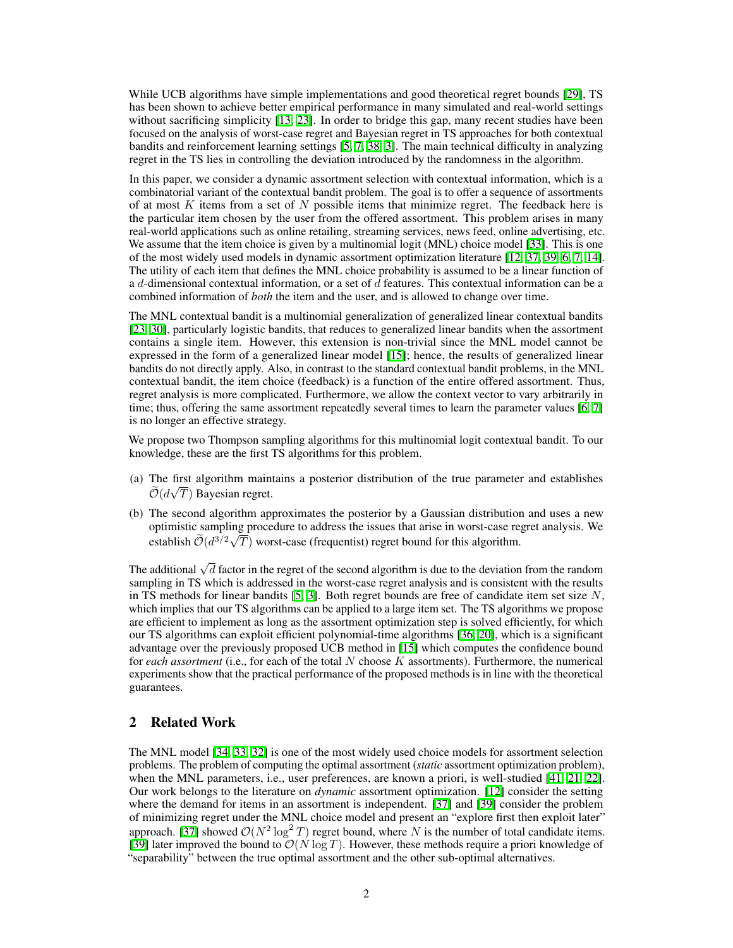While UCB algorithms have simple implementations and good theoretical regret bounds [\[29\]](#page-10-5). TS has been shown to achieve better empirical performance in many simulated and real-world settings without sacrificing simplicity  $\begin{bmatrix} 13 & 23 \end{bmatrix}$ . In order to bridge this gap, many recent studies have been focused on the analysis of worst-case regret and Bayesian regret in TS approaches for both contextual bandits and reinforcement learning settings  $[5, 7, 38, 3]$  $[5, 7, 38, 3]$  $[5, 7, 38, 3]$  $[5, 7, 38, 3]$  $[5, 7, 38, 3]$  $[5, 7, 38, 3]$  $[5, 7, 38, 3]$ . The main technical difficulty in analyzing regret in the TS lies in controlling the deviation introduced by the randomness in the algorithm.

In this paper, we consider a dynamic assortment selection with contextual information, which is a combinatorial variant of the contextual bandit problem. The goal is to offer a sequence of assortments of at most *K* items from a set of *N* possible items that minimize regret. The feedback here is the particular item chosen by the user from the offered assortment. This problem arises in many real-world applications such as online retailing, streaming services, news feed, online advertising, etc. We assume that the item choice is given by a multinomial logit (MNL) choice model  $\boxed{33}$ . This is one of the most widely used models in dynamic assortment optimization literature  $[12, 37, 39, 6, 7, 14]$  $[12, 37, 39, 6, 7, 14]$  $[12, 37, 39, 6, 7, 14]$  $[12, 37, 39, 6, 7, 14]$  $[12, 37, 39, 6, 7, 14]$  $[12, 37, 39, 6, 7, 14]$  $[12, 37, 39, 6, 7, 14]$  $[12, 37, 39, 6, 7, 14]$  $[12, 37, 39, 6, 7, 14]$  $[12, 37, 39, 6, 7, 14]$  $[12, 37, 39, 6, 7, 14]$ . The utility of each item that defines the MNL choice probability is assumed to be a linear function of a *d*-dimensional contextual information, or a set of *d* features. This contextual information can be a combined information of *both* the item and the user, and is allowed to change over time.

The MNL contextual bandit is a multinomial generalization of generalized linear contextual bandits [\[23,](#page-9-4) [30\]](#page-10-9), particularly logistic bandits, that reduces to generalized linear bandits when the assortment contains a single item. However, this extension is non-trivial since the MNL model cannot be expressed in the form of a generalized linear model  $[15]$ ; hence, the results of generalized linear bandits do not directly apply. Also, in contrast to the standard contextual bandit problems, in the MNL contextual bandit, the item choice (feedback) is a function of the entire offered assortment. Thus, regret analysis is more complicated. Furthermore, we allow the context vector to vary arbitrarily in time; thus, offering the same assortment repeatedly several times to learn the parameter values  $\overline{6}$ ,  $\overline{7}$ is no longer an effective strategy.

We propose two Thompson sampling algorithms for this multinomial logit contextual bandit. To our knowledge, these are the first TS algorithms for this problem.

- (a) The first algorithm maintains a posterior distribution of the true parameter and establishes  $\widetilde{\mathcal{O}}(d\sqrt{T})$  Bayesian regret.
- (b) The second algorithm approximates the posterior by a Gaussian distribution and uses a new optimistic sampling procedure to address the issues that arise in worst-case regret analysis. We establish  $\widetilde{\mathcal{O}}(d^{3/2}\sqrt{T})$  worst-case (frequentist) regret bound for this algorithm.

The additional  $\sqrt{d}$  factor in the regret of the second algorithm is due to the deviation from the random sampling in TS which is addressed in the worst-case regret analysis and is consistent with the results in TS methods for linear bandits  $[5, 3]$  $[5, 3]$  $[5, 3]$ . Both regret bounds are free of candidate item set size N, which implies that our TS algorithms can be applied to a large item set. The TS algorithms we propose are efficient to implement as long as the assortment optimization step is solved efficiently, for which our TS algorithms can exploit efficient polynomial-time algorithms [\[36,](#page-10-10) [20\]](#page-9-12), which is a significant advantage over the previously proposed UCB method in [\[15\]](#page-9-11) which computes the confidence bound for *each assortment* (i.e., for each of the total *N* choose *K* assortments). Furthermore, the numerical experiments show that the practical performance of the proposed methods is in line with the theoretical guarantees.

### 2 Related Work

The MNL model [\[34,](#page-10-11) [33,](#page-10-6) [32\]](#page-10-12) is one of the most widely used choice models for assortment selection problems. The problem of computing the optimal assortment (*static* assortment optimization problem), when the MNL parameters, i.e., user preferences, are known a priori, is well-studied  $[41, 21, 22]$  $[41, 21, 22]$  $[41, 21, 22]$  $[41, 21, 22]$  $[41, 21, 22]$ . Our work belongs to the literature on *dynamic* assortment optimization. [\[12\]](#page-9-8) consider the setting where the demand for items in an assortment is independent. [\[37\]](#page-10-7) and [\[39\]](#page-10-8) consider the problem of minimizing regret under the MNL choice model and present an "explore first then exploit later" approach. [\[37\]](#page-10-7) showed  $O(N^2 \log^2 T)$  regret bound, where N is the number of total candidate items. [\[39\]](#page-10-8) later improved the bound to *O*(*N* log *T*). However, these methods require a priori knowledge of "separability" between the true optimal assortment and the other sub-optimal alternatives.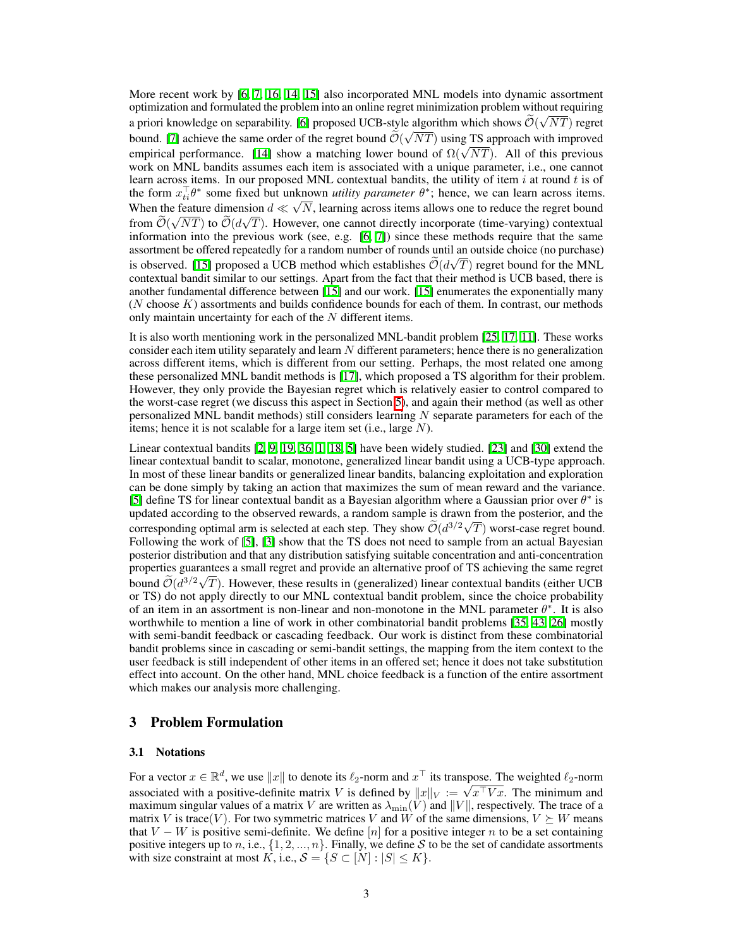More recent work by  $\left[\frac{6}{7}, \frac{7}{16}, \frac{14}{15}\right]$  also incorporated MNL models into dynamic assortment optimization and formulated the problem into an online regret minimization problem without requiring a priori knowledge on separability.  $\boxed{6}$  proposed UCB-style algorithm which shows  $\widetilde{O}(\sqrt{NT})$  regret bound. [\[7\]](#page-9-6) achieve the same order of the regret bound  $\tilde{O}(\sqrt{NT})$  using TS approach with improved empirical performance.  $[\overline{[14]}]$  $[\overline{[14]}]$  $[\overline{[14]}]$  show a matching lower bound of  $\Omega(\sqrt{NT})$ . All of this previous work on MNL bandits assumes each item is associated with a unique parameter, i.e., one cannot learn across items. In our proposed MNL contextual bandits, the utility of item *i* at round *t* is of the form  $x_{ti}^{\dagger}\theta^*$  some fixed but unknown *utility parameter*  $\theta^*$ ; hence, we can learn across items. When the feature dimension  $d \ll \sqrt{N}$ , learning across items allows one to reduce the regret bound from  $\tilde{\mathcal{O}}(\sqrt{NT})$  to  $\tilde{\mathcal{O}}(d\sqrt{T})$ . However, one cannot directly incorporate (time-varying) contextual information into the previous work (see, e.g.  $[6, 7]$  $[6, 7]$  $[6, 7]$ ) since these methods require that the same assortment be offered repeatedly for a random number of rounds until an outside choice (no purchase) is observed. [\[15\]](#page-9-11) proposed a UCB method which establishes  $\tilde{\mathcal{O}}(d\sqrt{T})$  regret bound for the MNL contextual bandit similar to our settings. Apart from the fact that their method is UCB based, there is another fundamental difference between  $\begin{bmatrix} 15 \end{bmatrix}$  and our work.  $\begin{bmatrix} 15 \end{bmatrix}$  enumerates the exponentially many (*N* choose *K*) assortments and builds confidence bounds for each of them. In contrast, our methods only maintain uncertainty for each of the *N* different items.

It is also worth mentioning work in the personalized MNL-bandit problem  $[25, 17, 11]$  $[25, 17, 11]$  $[25, 17, 11]$  $[25, 17, 11]$  $[25, 17, 11]$ . These works consider each item utility separately and learn *N* different parameters; hence there is no generalization across different items, which is different from our setting. Perhaps, the most related one among these personalized MNL bandit methods is  $\boxed{17}$ , which proposed a TS algorithm for their problem. However, they only provide the Bayesian regret which is relatively easier to control compared to the worst-case regret (we discuss this aspect in Section  $\overline{5}$ ), and again their method (as well as other personalized MNL bandit methods) still considers learning *N* separate parameters for each of the items; hence it is not scalable for a large item set (i.e., large *N*).

Linear contextual bandits  $[2, 9, 19, 36]$  $[2, 9, 19, 36]$  $[2, 9, 19, 36]$  $[2, 9, 19, 36]$  $[2, 9, 19, 36]$  $[2, 9, 19, 36]$   $[1, 18, 5]$  $[1, 18, 5]$  $[1, 18, 5]$  $[1, 18, 5]$  $[1, 18, 5]$  $[1, 18, 5]$  have been widely studied.  $[23]$  and  $[30]$  extend the linear contextual bandit to scalar, monotone, generalized linear bandit using a UCB-type approach. In most of these linear bandits or generalized linear bandits, balancing exploitation and exploration can be done simply by taking an action that maximizes the sum of mean reward and the variance.  $[5]$  define TS for linear contextual bandit as a Bayesian algorithm where a Gaussian prior over  $\theta^*$  is updated according to the observed rewards, a random sample is drawn from the posterior, and the corresponding optimal arm is selected at each step. They show  $\widetilde{\mathcal{O}}(d^{3/2}\sqrt{T})$  worst-case regret bound. Following the work of  $\boxed{5}$ ,  $\boxed{3}$  show that the TS does not need to sample from an actual Bayesian posterior distribution and that any distribution satisfying suitable concentration and anti-concentration properties guarantees a small regret and provide an alternative proof of TS achieving the same regret bound  $\widetilde{\mathcal{O}}(d^{3/2}\sqrt{T})$ . However, these results in (generalized) linear contextual bandits (either UCB or TS) do not apply directly to our MNL contextual bandit problem, since the choice probability of an item in an assortment is non-linear and non-monotone in the MNL parameter  $\theta^*$ . It is also worthwhile to mention a line of work in other combinatorial bandit problems  $[35, 43, 26]$  $[35, 43, 26]$  $[35, 43, 26]$  $[35, 43, 26]$  $[35, 43, 26]$  mostly with semi-bandit feedback or cascading feedback. Our work is distinct from these combinatorial bandit problems since in cascading or semi-bandit settings, the mapping from the item context to the user feedback is still independent of other items in an offered set; hence it does not take substitution effect into account. On the other hand, MNL choice feedback is a function of the entire assortment which makes our analysis more challenging.

#### 3 Problem Formulation

#### 3.1 Notations

For a vector  $x \in \mathbb{R}^d$ , we use  $||x||$  to denote its  $\ell_2$ -norm and  $x^\top$  its transpose. The weighted  $\ell_2$ -norm associated with a positive-definite matrix *V* is defined by  $||x||_V := \sqrt{x^T V x}$ . The minimum and maximum singular values of a matrix *V* are written as  $\lambda_{\min}(V)$  and  $||V||$ , respectively. The trace of a matrix *V* is trace(*V*). For two symmetric matrices *V* and *W* of the same dimensions,  $V \succeq W$  means that  $V - W$  is positive semi-definite. We define [n] for a positive integer n to be a set containing positive integers up to *n*, i.e.,  $\{1, 2, ..., n\}$ . Finally, we define *S* to be the set of candidate assortments with size constraint at most  $K$ , i.e.,  $S = \{S \subset [N] : |S| \leq K\}$ .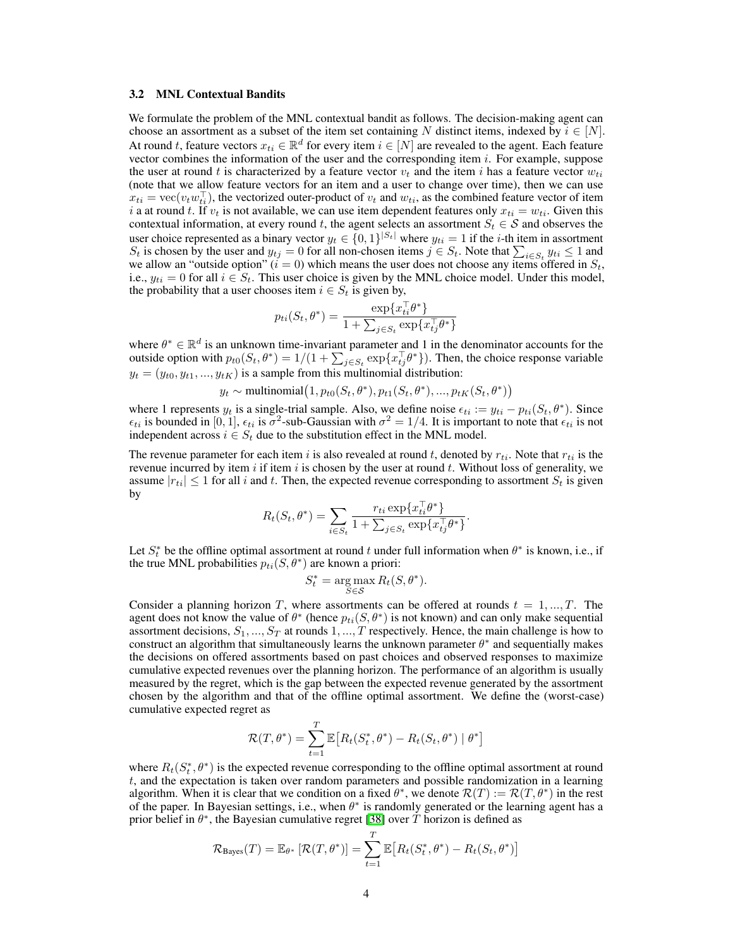#### 3.2 MNL Contextual Bandits

We formulate the problem of the MNL contextual bandit as follows. The decision-making agent can choose an assortment as a subset of the item set containing *N* distinct items, indexed by  $i \in [N]$ . At round *t*, feature vectors  $x_{ti} \in \mathbb{R}^d$  for every item  $i \in [N]$  are revealed to the agent. Each feature vector combines the information of the user and the corresponding item *i*. For example, suppose the user at round *t* is characterized by a feature vector  $v_t$  and the item *i* has a feature vector  $w_{ti}$ (note that we allow feature vectors for an item and a user to change over time), then we can use  $x_{ti} = \text{vec}(v_t w_{ti}^{\perp})$ , the vectorized outer-product of  $v_t$  and  $w_{ti}$ , as the combined feature vector of item *i* a at round *t*. If  $v_t$  is not available, we can use item dependent features only  $x_{ti} = w_{ti}$ . Given this contextual information, at every round *t*, the agent selects an assortment  $S_t \in \mathcal{S}$  and observes the user choice represented as a binary vector  $y_t \in \{0,1\}^{|S_t|}$  where  $y_{ti} = 1$  if the *i*-th item in assortment *S*<sup>*t*</sup> is chosen by the user and  $y_{tj} = 0$  for all non-chosen items  $j \in S_t$ . Note that  $\sum_{i \in S_t} y_{ti} \le 1$  and we allow an "outside option"  $(i = 0)$  which means the user does not choose any items offered in  $S_t$ , i.e.,  $y_{ti} = 0$  for all  $i \in S_t$ . This user choice is given by the MNL choice model. Under this model, the probability that a user chooses item  $i \in S_t$  is given by,

$$
p_{ti}(S_t, \theta^*) = \frac{\exp\{x_{ti}^\top \theta^*\}}{1 + \sum_{j \in S_t} \exp\{x_{tj}^\top \theta^*\}}
$$

where  $\theta^* \in \mathbb{R}^d$  is an unknown time-invariant parameter and 1 in the denominator accounts for the outside option with  $p_{t0}(S_t, \theta^*) = 1/(1 + \sum_{j \in S_t} \exp\{x_{tj}^{\top} \theta^*\})$ . Then, the choice response variable  $y_t = (y_{t0}, y_{t1}, ..., y_{tK})$  is a sample from this multinomial distribution:

 $y_t \sim \text{multinomial}\left(1, p_{t0}(S_t, \theta^*), p_{t1}(S_t, \theta^*), ..., p_{tK}(S_t, \theta^*)\right)$ 

where 1 represents  $y_t$  is a single-trial sample. Also, we define noise  $\epsilon_{ti} := y_{ti} - p_{ti}(S_t, \theta^*)$ . Since  $\epsilon_{ti}$  is bounded in [0, 1],  $\epsilon_{ti}$  is  $\sigma^2$ -sub-Gaussian with  $\sigma^2 = 1/4$ . It is important to note that  $\epsilon_{ti}$  is not independent across  $i \in S_t$  due to the substitution effect in the MNL model.

The revenue parameter for each item *i* is also revealed at round *t*, denoted by  $r_{ti}$ . Note that  $r_{ti}$  is the revenue incurred by item *i* if item *i* is chosen by the user at round *t*. Without loss of generality, we assume  $|r_{ti}| \leq 1$  for all *i* and *t*. Then, the expected revenue corresponding to assortment  $S_t$  is given by

$$
R_t(S_t, \theta^*) = \sum_{i \in S_t} \frac{r_{ti} \exp\{x_{ti}^1 \theta^*\}}{1 + \sum_{j \in S_t} \exp\{x_{tj}^{\top} \theta^*\}}.
$$

Let  $S_t^*$  be the offline optimal assortment at round *t* under full information when  $\theta^*$  is known, i.e., if the true MNL probabilities  $p_{ti}(S, \theta^*)$  are known a priori:

$$
S_t^* = \underset{S \in \mathcal{S}}{\arg \max} R_t(S, \theta^*).
$$

Consider a planning horizon *T*, where assortments can be offered at rounds  $t = 1, ..., T$ . The agent does not know the value of  $\theta^*$  (hence  $p_{ti}(S, \theta^*)$  is not known) and can only make sequential assortment decisions, *S*1*, ..., S<sup>T</sup>* at rounds 1*, ..., T* respectively. Hence, the main challenge is how to construct an algorithm that simultaneously learns the unknown parameter  $\theta^*$  and sequentially makes the decisions on offered assortments based on past choices and observed responses to maximize cumulative expected revenues over the planning horizon. The performance of an algorithm is usually measured by the regret, which is the gap between the expected revenue generated by the assortment chosen by the algorithm and that of the offline optimal assortment. We define the (worst-case) cumulative expected regret as

$$
\mathcal{R}(T,\theta^*) = \sum_{t=1}^T \mathbb{E}\big[R_t(S_t^*,\theta^*) - R_t(S_t,\theta^*) \mid \theta^*\big]
$$

where  $R_t(S_t^*, \theta^*)$  is the expected revenue corresponding to the offline optimal assortment at round *t*, and the expectation is taken over random parameters and possible randomization in a learning algorithm. When it is clear that we condition on a fixed  $\theta^*$ , we denote  $\mathcal{R}(T) := \mathcal{R}(T, \theta^*)$  in the rest of the paper. In Bayesian settings, i.e., when  $\theta^*$  is randomly generated or the learning agent has a prior belief in  $\theta^*$ , the Bayesian cumulative regret [\[38\]](#page-10-4) over *T* horizon is defined as

$$
\mathcal{R}_{\text{Bayes}}(T) = \mathbb{E}_{\theta^*} [\mathcal{R}(T, \theta^*)] = \sum_{t=1}^T \mathbb{E} [R_t(S_t^*, \theta^*) - R_t(S_t, \theta^*)]
$$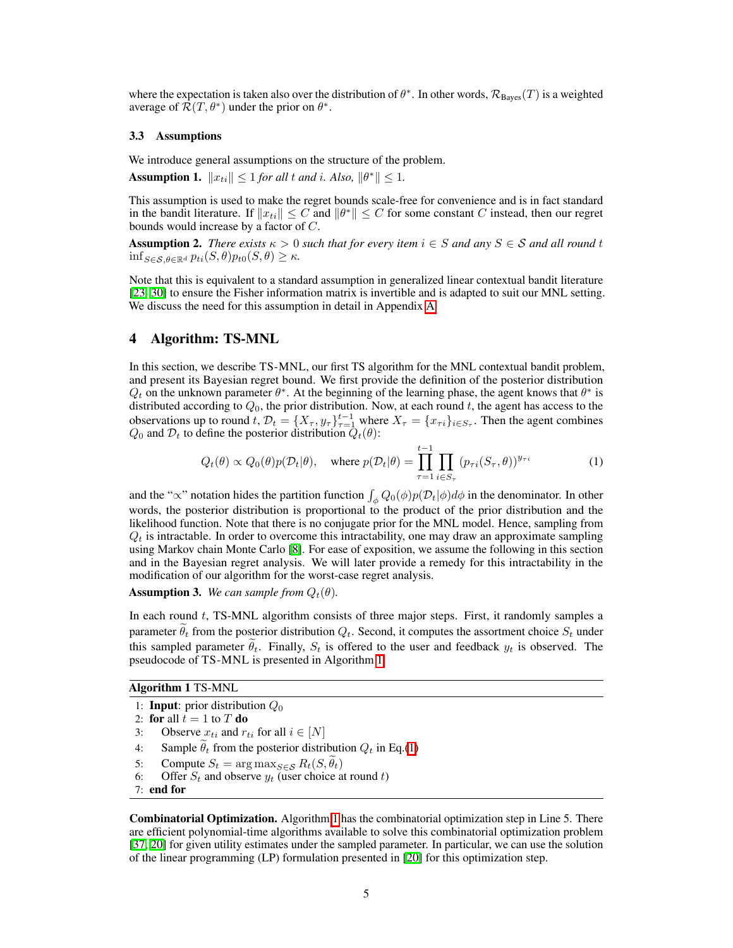where the expectation is taken also over the distribution of  $\theta^*$ . In other words,  $\mathcal{R}_{\text{Bayes}}(T)$  is a weighted average of  $\mathcal{R}(T, \theta^*)$  under the prior on  $\theta^*$ .

#### 3.3 Assumptions

We introduce general assumptions on the structure of the problem.

Assumption 1.  $||x_{ti}|| \le 1$  *for all t and i. Also,*  $||\theta^*|| \le 1$ *.* 

This assumption is used to make the regret bounds scale-free for convenience and is in fact standard in the bandit literature. If  $||x_{ti}|| \leq C$  and  $||\theta^*|| \leq C$  for some constant *C* instead, then our regret bounds would increase by a factor of *C*.

Assumption 2. *There exists*  $\kappa > 0$  *such that for every item*  $i \in S$  *and any*  $S \in S$  *and all round t*  $\inf_{S \in \mathcal{S}, \theta \in \mathbb{R}^d} p_{ti}(S, \theta) p_{t0}(S, \theta) \geq \kappa.$ 

Note that this is equivalent to a standard assumption in generalized linear contextual bandit literature [23], [30\]](#page-10-9) to ensure the Fisher information matrix is invertible and is adapted to suit our MNL setting. We discuss the need for this assumption in detail in Appendix [A.](#page-0-1)

## 4 Algorithm: TS-MNL

In this section, we describe TS-MNL, our first TS algorithm for the MNL contextual bandit problem, and present its Bayesian regret bound. We first provide the definition of the posterior distribution  $Q_t$  on the unknown parameter  $\theta^*$ . At the beginning of the learning phase, the agent knows that  $\theta^*$  is distributed according to  $Q_0$ , the prior distribution. Now, at each round  $t$ , the agent has access to the observations up to round *t*,  $\mathcal{D}_t = \{X_\tau, y_\tau\}_{\tau=1}^{t-1}$  where  $X_\tau = \{x_{\tau i}\}_{i \in S_\tau}$ . Then the agent combines  $Q_0$  and  $\mathcal{D}_t$  to define the posterior distribution  $\tilde{Q}_t(\theta)$ :

<span id="page-4-1"></span>
$$
Q_t(\theta) \propto Q_0(\theta) p(\mathcal{D}_t|\theta), \quad \text{where } p(\mathcal{D}_t|\theta) = \prod_{\tau=1}^{t-1} \prod_{i \in S_\tau} (p_{\tau i}(S_\tau, \theta))^{y_{\tau i}} \tag{1}
$$

and the " $\propto$ " notation hides the partition function  $\int_{\phi} Q_0(\phi) p(\mathcal{D}_t|\phi) d\phi$  in the denominator. In other words, the posterior distribution is proportional to the product of the prior distribution and the likelihood function. Note that there is no conjugate prior for the MNL model. Hence, sampling from  $Q_t$  is intractable. In order to overcome this intractability, one may draw an approximate sampling using Markov chain Monte Carlo **[\[8\]](#page-9-21)**. For ease of exposition, we assume the following in this section and in the Bayesian regret analysis. We will later provide a remedy for this intractability in the modification of our algorithm for the worst-case regret analysis.

**Assumption 3.** We can sample from  $Q_t(\theta)$ .

In each round *t*, TS-MNL algorithm consists of three major steps. First, it randomly samples a parameter  $\theta_t$  from the posterior distribution  $Q_t$ . Second, it computes the assortment choice  $S_t$  under this sampled parameter  $\theta_t$ . Finally,  $S_t$  is offered to the user and feedback  $y_t$  is observed. The pseudocode of TS-MNL is presented in Algorithm  $\sqrt{1}$ .

#### <span id="page-4-0"></span>Algorithm 1 TS-MNL

- 1: Input: prior distribution *Q*<sup>0</sup>
- 2: **for** all  $t = 1$  to  $T$  **do**
- 3: Observe  $x_{ti}$  and  $r_{ti}$  for all  $i \in [N]$
- 4: Sample  $\theta_t$  from the posterior distribution  $Q_t$  in Eq.[\(1\)](#page-4-1)
- 5: Compute  $S_t = \arg \max_{S \in \mathcal{S}} R_t(S, \theta_t)$
- 6: Offer  $S_t$  and observe  $y_t$  (user choice at round *t*)
- 7: end for

**Combinatorial Optimization.** Algorithm  $\overline{\Pi}$  has the combinatorial optimization step in Line 5. There are efficient polynomial-time algorithms available to solve this combinatorial optimization problem [\[37,](#page-10-7) [20\]](#page-9-12) for given utility estimates under the sampled parameter. In particular, we can use the solution of the linear programming  $(LP)$  formulation presented in  $[20]$  for this optimization step.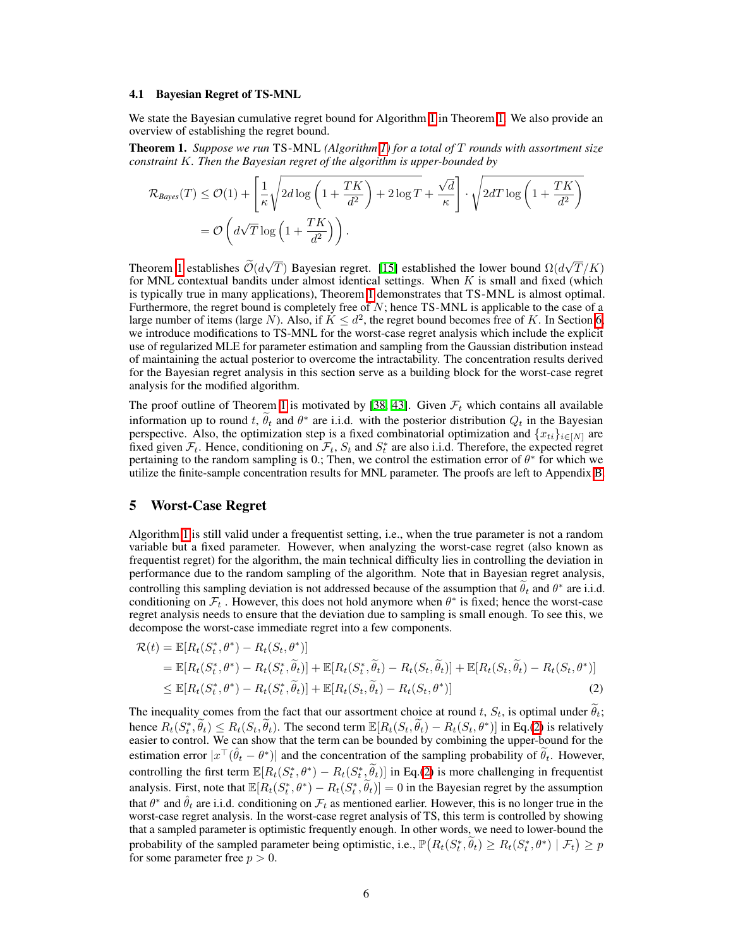#### 4.1 Bayesian Regret of TS-MNL

We state the Bayesian cumulative regret bound for Algorithm  $\prod$  in Theorem  $\prod$ . We also provide an overview of establishing the regret bound.

<span id="page-5-1"></span>Theorem 1. *Suppose we run* TS-MNL *(Algorithm [1\)](#page-4-0) for a total of T rounds with assortment size constraint K. Then the Bayesian regret of the algorithm is upper-bounded by*

$$
\mathcal{R}_{Bayes}(T) \leq \mathcal{O}(1) + \left[\frac{1}{\kappa} \sqrt{2d \log\left(1 + \frac{TK}{d^2}\right) + 2\log T} + \frac{\sqrt{d}}{\kappa}\right] \cdot \sqrt{2dT \log\left(1 + \frac{TK}{d^2}\right)}
$$

$$
= \mathcal{O}\left(d\sqrt{T}\log\left(1 + \frac{TK}{d^2}\right)\right).
$$

Theorem **1** establishes  $\widetilde{\mathcal{O}}(d\sqrt{T})$  Bayesian regret. **[\[15\]](#page-9-11)** established the lower bound  $\Omega(d\sqrt{T}/K)$ for MNL contextual bandits under almost identical settings. When *K* is small and fixed (which is typically true in many applications), Theorem  $\prod$  demonstrates that TS-MNL is almost optimal. Furthermore, the regret bound is completely free of  $N$ ; hence TS-MNL is applicable to the case of  $\underline{a}$ large number of items (large *N*). Also, if  $K \leq d^2$ , the regret bound becomes free of *K*. In Section [6,](#page-6-0) we introduce modifications to TS-MNL for the worst-case regret analysis which include the explicit use of regularized MLE for parameter estimation and sampling from the Gaussian distribution instead of maintaining the actual posterior to overcome the intractability. The concentration results derived for the Bayesian regret analysis in this section serve as a building block for the worst-case regret analysis for the modified algorithm.

The proof outline of Theorem  $\boxed{1}$  is motivated by  $\boxed{38}$ ,  $\boxed{43}$ . Given  $\mathcal{F}_t$  which contains all available information up to round *t*,  $\theta_t$  and  $\theta^*$  are i.i.d. with the posterior distribution  $Q_t$  in the Bayesian perspective. Also, the optimization step is a fixed combinatorial optimization and  ${x_{ti}}_{i\in[N]}$  are fixed given  $\mathcal{F}_t$ . Hence, conditioning on  $\mathcal{F}_t$ ,  $S_t$  and  $S_t^*$  are also i.i.d. Therefore, the expected regret pertaining to the random sampling is 0.; Then, we control the estimation error of  $\theta^*$  for which we utilize the finite-sample concentration results for MNL parameter. The proofs are left to Appendix  $\overline{B}$ .

## <span id="page-5-0"></span>5 Worst-Case Regret

Algorithm  $\prod$  is still valid under a frequentist setting, i.e., when the true parameter is not a random variable but a fixed parameter. However, when analyzing the worst-case regret (also known as frequentist regret) for the algorithm, the main technical difficulty lies in controlling the deviation in performance due to the random sampling of the algorithm. Note that in Bayesian regret analysis, controlling this sampling deviation is not addressed because of the assumption that  $\theta_t$  and  $\theta^*$  are i.i.d. conditioning on  $\mathcal{F}_t$ . However, this does not hold anymore when  $\theta^*$  is fixed; hence the worst-case regret analysis needs to ensure that the deviation due to sampling is small enough. To see this, we decompose the worst-case immediate regret into a few components.

<span id="page-5-2"></span>
$$
\mathcal{R}(t) = \mathbb{E}[R_t(S_t^*, \theta^*) - R_t(S_t, \theta^*)]
$$
  
\n
$$
= \mathbb{E}[R_t(S_t^*, \theta^*) - R_t(S_t^*, \tilde{\theta}_t)] + \mathbb{E}[R_t(S_t^*, \tilde{\theta}_t) - R_t(S_t, \tilde{\theta}_t)] + \mathbb{E}[R_t(S_t, \tilde{\theta}_t) - R_t(S_t, \theta^*)]
$$
  
\n
$$
\leq \mathbb{E}[R_t(S_t^*, \theta^*) - R_t(S_t^*, \tilde{\theta}_t)] + \mathbb{E}[R_t(S_t, \tilde{\theta}_t) - R_t(S_t, \theta^*)]
$$
\n(2)

The inequality comes from the fact that our assortment choice at round *t*,  $S_t$ , is optimal under  $\theta_t$ ; hence  $R_t(S_t^*, \theta_t) \le R_t(S_t, \theta_t)$ . The second term  $\mathbb{E}[R_t(S_t, \theta_t) - R_t(S_t, \theta^*)]$  in Eq. [\(2\)](#page-5-2) is relatively easier to control. We can show that the term can be bounded by combining the upper-bound for the estimation error  $|x^{\top}(\hat{\theta}_t - \theta^*)|$  and the concentration of the sampling probability of  $\widetilde{\theta}_t$ . However, controlling the first term  $\mathbb{E}[R_t(S_t^*, \theta^*) - R_t(S_t^*, \theta_t)]$  in Eq.[\(2\)](#page-5-2) is more challenging in frequentist analysis. First, note that  $\mathbb{E}[R_t(S_t^*, \theta^*) - R_t(S_t^*, \theta_t)] = 0$  in the Bayesian regret by the assumption that  $\theta^*$  and  $\hat{\theta}_t$  are i.i.d. conditioning on  $\mathcal{F}_t$  as mentioned earlier. However, this is no longer true in the worst-case regret analysis. In the worst-case regret analysis of TS, this term is controlled by showing that a sampled parameter is optimistic frequently enough. In other words, we need to lower-bound the probability of the sampled parameter being optimistic, i.e.,  $\mathbb{P}(R_t(S_t^*, \tilde{\theta}_t) \ge R_t(S_t^*, \theta^*) | \mathcal{F}_t) \ge p$ for some parameter free  $p > 0$ .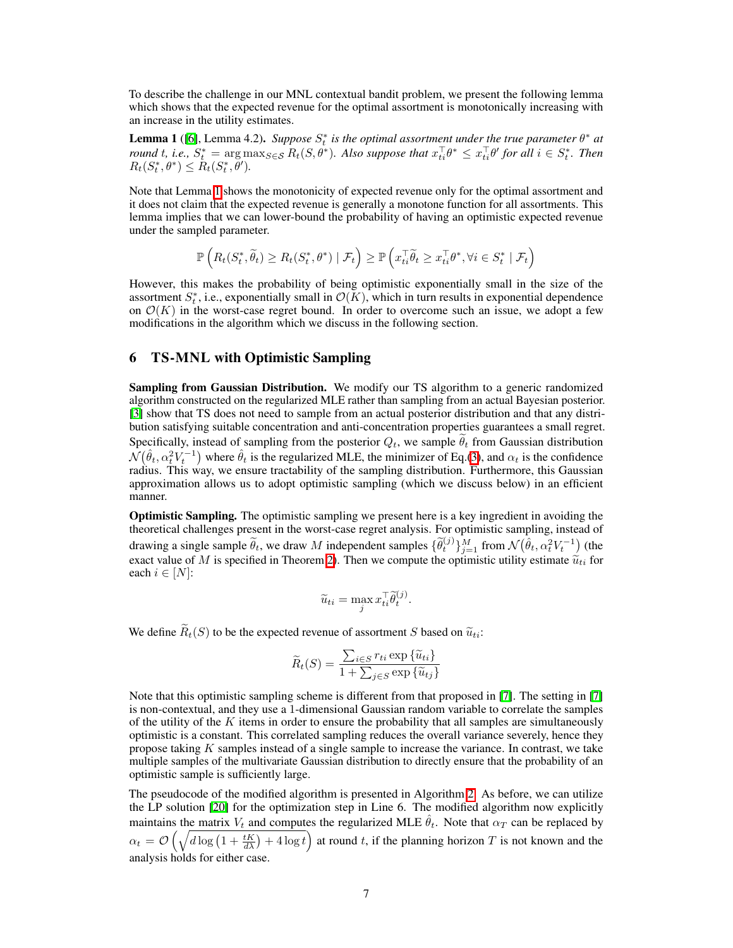To describe the challenge in our MNL contextual bandit problem, we present the following lemma which shows that the expected revenue for the optimal assortment is monotonically increasing with an increase in the utility estimates.

<span id="page-6-1"></span>**Lemma 1** ( $\overline{[6]}$  $\overline{[6]}$  $\overline{[6]}$ , Lemma 4.2). *Suppose*  $S_t^*$  *is the optimal assortment under the true parameter*  $\theta^*$  *at* round t, i.e.,  $S_t^* = \argmax_{S \in \mathcal{S}} R_t(S, \theta^*)$ . Also suppose that  $x_{ti}^{\perp} \theta^* \leq x_{ti}^{\perp} \theta'$  for all  $i \in S_t^*$ . Then  $R_t(S_t^*, \theta^*) \leq R_t(S_t^*, \theta').$ 

Note that Lemma $\prod$  shows the monotonicity of expected revenue only for the optimal assortment and it does not claim that the expected revenue is generally a monotone function for all assortments. This lemma implies that we can lower-bound the probability of having an optimistic expected revenue under the sampled parameter.

$$
\mathbb{P}\left(R_t(S_t^*,\widetilde{\theta}_t) \geq R_t(S_t^*,\theta^*) \mid \mathcal{F}_t\right) \geq \mathbb{P}\left(x_{ti}^\top \widetilde{\theta}_t \geq x_{ti}^\top \theta^*, \forall i \in S_t^* \mid \mathcal{F}_t\right)
$$

However, this makes the probability of being optimistic exponentially small in the size of the assortment  $S_t^*$ , i.e., exponentially small in  $\mathcal{O}(K)$ , which in turn results in exponential dependence on  $\mathcal{O}(K)$  in the worst-case regret bound. In order to overcome such an issue, we adopt a few modifications in the algorithm which we discuss in the following section.

# <span id="page-6-0"></span>6 TS-MNL with Optimistic Sampling

Sampling from Gaussian Distribution. We modify our TS algorithm to a generic randomized algorithm constructed on the regularized MLE rather than sampling from an actual Bayesian posterior. [\[3\]](#page-9-7) show that TS does not need to sample from an actual posterior distribution and that any distribution satisfying suitable concentration and anti-concentration properties guarantees a small regret. Specifically, instead of sampling from the posterior  $Q_t$ , we sample  $\theta_t$  from Gaussian distribution  $\mathcal{N}(\hat{\theta}_t, \alpha_t^2 V_t^{-1})$  where  $\hat{\theta}_t$  is the regularized MLE, the minimizer of Eq.[\(3\)](#page-7-0), and  $\alpha_t$  is the confidence radius. This way, we ensure tractability of the sampling distribution. Furthermore, this Gaussian approximation allows us to adopt optimistic sampling (which we discuss below) in an efficient manner.

Optimistic Sampling. The optimistic sampling we present here is a key ingredient in avoiding the theoretical challenges present in the worst-case regret analysis. For optimistic sampling, instead of drawing a single sample  $\widetilde{\theta}_t$ , we draw *M* independent samples  $\{\widetilde{\theta}_t^{(j)}\}_{j=1}^M$  from  $\mathcal{N}(\hat{\theta}_t, \alpha_t^2 V_t^{-1})$  (the exact value of *M* is specified in Theorem [2\)](#page-7-1). Then we compute the optimistic utility estimate  $\tilde{u}_{ti}$  for each  $i \in [N]$ :

$$
\widetilde{u}_{ti} = \max_j x_{ti}^\top \widetilde{\theta}_{t}^{(j)}.
$$

We define  $\widetilde{R}_t(S)$  to be the expected revenue of assortment *S* based on  $\widetilde{u}_{ti}$ :

$$
\widetilde{R}_t(S) = \frac{\sum_{i \in S} r_{ti} \exp \{\widetilde{u}_{ti}\}}{1 + \sum_{j \in S} \exp \{\widetilde{u}_{tj}\}}
$$

Note that this optimistic sampling scheme is different from that proposed in  $\boxed{7}$ . The setting in  $\boxed{7}$ is non-contextual, and they use a 1-dimensional Gaussian random variable to correlate the samples of the utility of the *K* items in order to ensure the probability that all samples are simultaneously optimistic is a constant. This correlated sampling reduces the overall variance severely, hence they propose taking *K* samples instead of a single sample to increase the variance. In contrast, we take multiple samples of the multivariate Gaussian distribution to directly ensure that the probability of an optimistic sample is sufficiently large.

The pseudocode of the modified algorithm is presented in Algorithm  $\overline{2}$ . As before, we can utilize the LP solution [\[20\]](#page-9-12) for the optimization step in Line 6. The modified algorithm now explicitly maintains the matrix  $V_t$  and computes the regularized MLE  $\hat{\theta}_t$ . Note that  $\alpha_T$  can be replaced by  $\alpha_t = \mathcal{O}\left(\sqrt{d\log\left(1 + \frac{tK}{d\lambda}\right) + 4\log t}\right)$  at round *t*, if the planning horizon *T* is not known and the analysis holds for either case.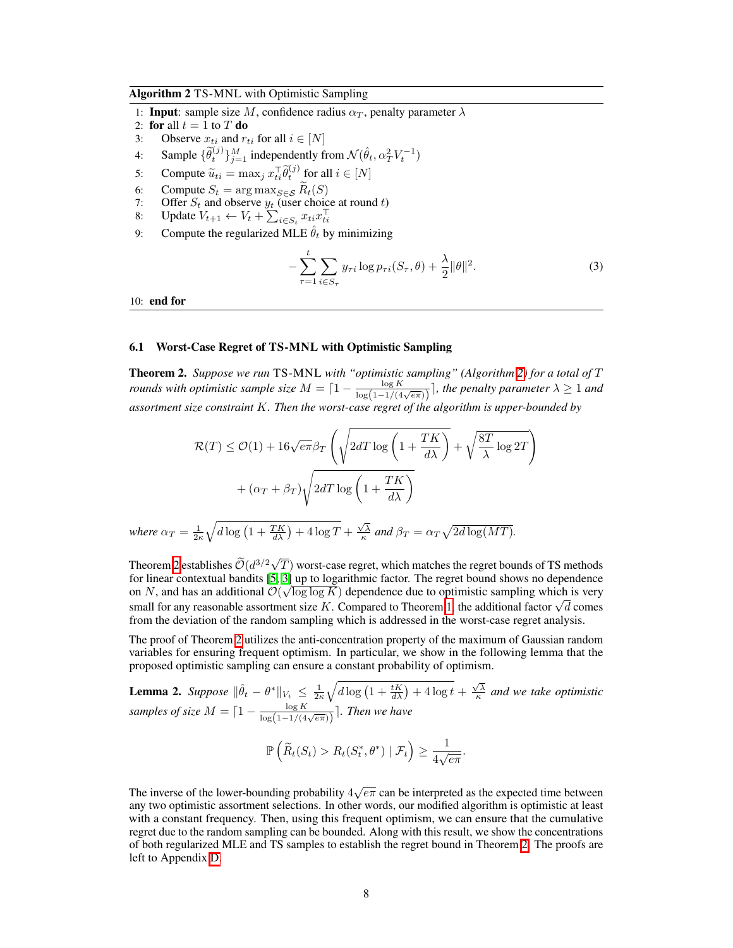#### <span id="page-7-2"></span>Algorithm 2 TS-MNL with Optimistic Sampling

- 1: **Input**: sample size *M*, confidence radius  $\alpha_T$ , penalty parameter  $\lambda$
- 2: **for** all  $t = 1$  to  $T$  **do**
- 3: Observe  $x_{ti}$  and  $r_{ti}$  for all  $i \in [N]$
- 4: Sample  $\{\widetilde{\theta}_t^{(j)}\}_{j=1}^M$  independently from  $\mathcal{N}(\hat{\theta}_t, \alpha_T^2 V_t^{-1})$
- 5: Compute  $\widetilde{u}_{ti} = \max_j x_{ti}^\top \widetilde{\theta}_{t}^{(j)}$  for all  $i \in [N]$
- 
- 6: Compute  $S_t$  = arg max $_{S \in \mathcal{S}} R_t(S)$ <br>7: Offer  $S_t$  and observe  $y_t$  (user choice at round *t*)
- 8: Update  $V_{t+1} \leftarrow V_t + \sum_{i \in S_t} x_{ti} x_{ti}^\top$
- 9: Compute the regularized MLE  $\hat{\theta}_t$  by minimizing

<span id="page-7-0"></span>
$$
-\sum_{\tau=1}^t \sum_{i \in S_{\tau}} y_{\tau i} \log p_{\tau i}(S_{\tau}, \theta) + \frac{\lambda}{2} ||\theta||^2.
$$
 (3)

10: end for

#### 6.1 Worst-Case Regret of TS-MNL with Optimistic Sampling

<span id="page-7-1"></span>Theorem 2. *Suppose we run* TS-MNL *with "optimistic sampling" (Algorithm [2\)](#page-7-2) for a total of T rounds with optimistic sample size*  $M = \lceil 1 - \frac{\log K}{\log(1 - 1/(4\sqrt{e\pi}))}\rceil$ , the penalty parameter  $\lambda \ge 1$  and *assortment size constraint K. Then the worst-case regret of the algorithm is upper-bounded by*

$$
\mathcal{R}(T) \le \mathcal{O}(1) + 16\sqrt{e\pi} \beta_T \left( \sqrt{2dT \log\left(1 + \frac{TK}{d\lambda}\right)} + \sqrt{\frac{8T}{\lambda} \log 2T} \right) + (\alpha_T + \beta_T) \sqrt{2dT \log\left(1 + \frac{TK}{d\lambda}\right)}
$$

where  $\alpha_T = \frac{1}{2\kappa}$  $\sqrt{d \log \left(1 + \frac{TK}{d\lambda}\right) + 4 \log T} + \frac{\sqrt{\lambda}}{\kappa}$  and  $\beta_T = \alpha_T \sqrt{2d \log(MT)}$ .

Theorem [2](#page-7-1) establishes  $\tilde{\mathcal{O}}(d^{3/2}\sqrt{T})$  worst-case regret, which matches the regret bounds of TS methods for linear contextual bandits  $[5, 3]$  $[5, 3]$  $[5, 3]$  up to logarithmic factor. The regret bound shows no dependence on *N*, and has an additional  $\mathcal{O}(\sqrt{\log \log K})$  dependence due to optimistic sampling which is very small for any reasonable assortment size *K*. Compared to Theorem  $\boxed{l}$ , the additional factor  $\sqrt{d}$  comes from the deviation of the random sampling which is addressed in the worst-case regret analysis.

The proof of Theorem  $\sqrt{2}$  utilizes the anti-concentration property of the maximum of Gaussian random variables for ensuring frequent optimism. In particular, we show in the following lemma that the proposed optimistic sampling can ensure a constant probability of optimism.

**Lemma 2.** *Suppose*  $\|\hat{\theta}_t - \theta^*\|_{V_t} \leq \frac{1}{2\kappa}$  $\sqrt{d \log \left(1 + \frac{tK}{d\lambda}\right) + 4 \log t} + \frac{\sqrt{\lambda}}{\kappa}$  and we take optimistic *samples of size*  $M = \lceil 1 - \frac{\log K}{\log(1 - 1/(4\sqrt{e\pi}))}\rceil$ *. Then we have* 

$$
\mathbb{P}\left(\widetilde{R}_t(S_t) > R_t(S_t^*, \theta^*) \mid \mathcal{F}_t\right) \geq \frac{1}{4\sqrt{e\pi}}.
$$

The inverse of the lower-bounding probability  $4\sqrt{e\pi}$  can be interpreted as the expected time between any two optimistic assortment selections. In other words, our modified algorithm is optimistic at least with a constant frequency. Then, using this frequent optimism, we can ensure that the cumulative regret due to the random sampling can be bounded. Along with this result, we show the concentrations of both regularized MLE and TS samples to establish the regret bound in Theorem [2.](#page-7-1) The proofs are left to Appendix [D.](#page-0-3)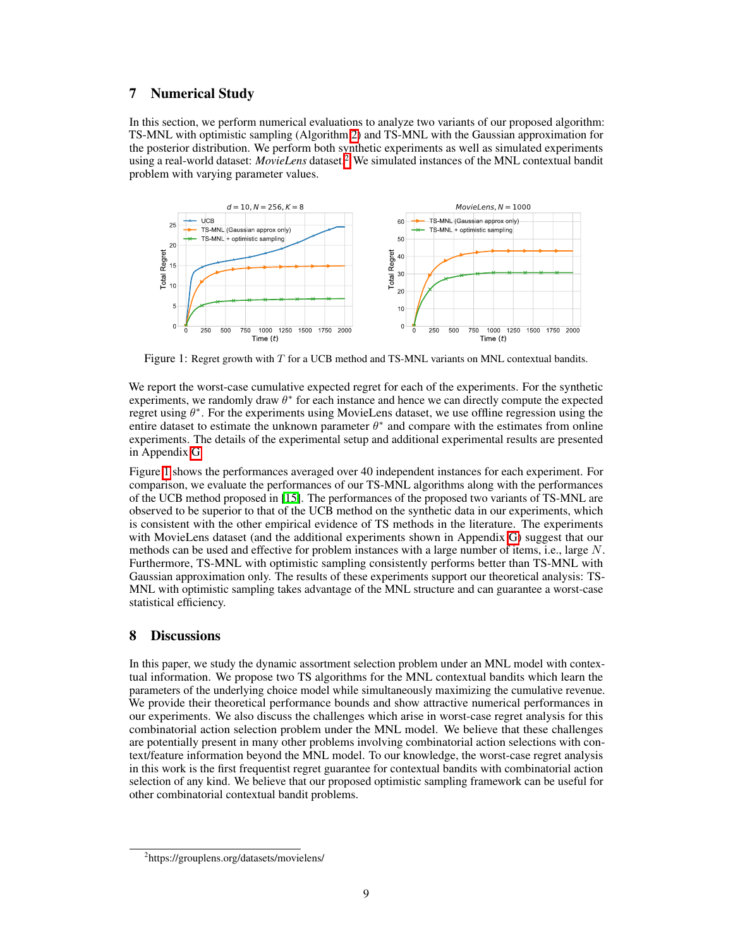## 7 Numerical Study

In this section, we perform numerical evaluations to analyze two variants of our proposed algorithm: TS-MNL with optimistic sampling (Algorithm [2\)](#page-7-2) and TS-MNL with the Gaussian approximation for the posterior distribution. We perform both synthetic experiments as well as simulated experiments using a real-world dataset: *MovieLens* dataset<sup>2</sup> We simulated instances of the MNL contextual bandit problem with varying parameter values.

<span id="page-8-1"></span>

Figure 1: Regret growth with *T* for a UCB method and TS-MNL variants on MNL contextual bandits.

We report the worst-case cumulative expected regret for each of the experiments. For the synthetic experiments, we randomly draw  $\theta^*$  for each instance and hence we can directly compute the expected regret using  $\theta^*$ . For the experiments using MovieLens dataset, we use offline regression using the entire dataset to estimate the unknown parameter  $\theta^*$  and compare with the estimates from online experiments. The details of the experimental setup and additional experimental results are presented in Appendix [G.](#page-0-3)

Figure  $\Gamma$  shows the performances averaged over 40 independent instances for each experiment. For comparison, we evaluate the performances of our TS-MNL algorithms along with the performances of the UCB method proposed in [\[15\]](#page-9-11). The performances of the proposed two variants of TS-MNL are observed to be superior to that of the UCB method on the synthetic data in our experiments, which is consistent with the other empirical evidence of TS methods in the literature. The experiments with MovieLens dataset (and the additional experiments shown in Appendix  $\overline{G}$ ) suggest that our methods can be used and effective for problem instances with a large number of items, i.e., large *N*. Furthermore, TS-MNL with optimistic sampling consistently performs better than TS-MNL with Gaussian approximation only. The results of these experiments support our theoretical analysis: TS-MNL with optimistic sampling takes advantage of the MNL structure and can guarantee a worst-case statistical efficiency.

## 8 Discussions

In this paper, we study the dynamic assortment selection problem under an MNL model with contextual information. We propose two TS algorithms for the MNL contextual bandits which learn the parameters of the underlying choice model while simultaneously maximizing the cumulative revenue. We provide their theoretical performance bounds and show attractive numerical performances in our experiments. We also discuss the challenges which arise in worst-case regret analysis for this combinatorial action selection problem under the MNL model. We believe that these challenges are potentially present in many other problems involving combinatorial action selections with context/feature information beyond the MNL model. To our knowledge, the worst-case regret analysis in this work is the first frequentist regret guarantee for contextual bandits with combinatorial action selection of any kind. We believe that our proposed optimistic sampling framework can be useful for other combinatorial contextual bandit problems.

<span id="page-8-0"></span><sup>2</sup> https://grouplens.org/datasets/movielens/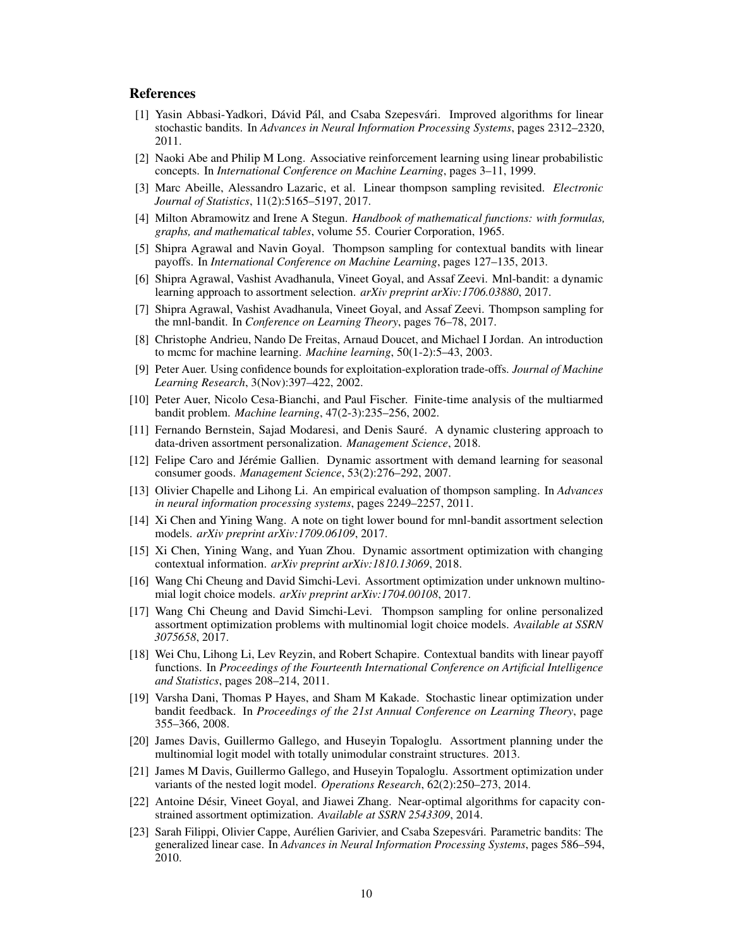## References

- <span id="page-9-20"></span>[1] Yasin Abbasi-Yadkori, Dávid Pál, and Csaba Szepesvári. Improved algorithms for linear stochastic bandits. In *Advances in Neural Information Processing Systems*, pages 2312–2320, 2011.
- <span id="page-9-18"></span>[2] Naoki Abe and Philip M Long. Associative reinforcement learning using linear probabilistic concepts. In *International Conference on Machine Learning*, pages 3–11, 1999.
- <span id="page-9-7"></span>[3] Marc Abeille, Alessandro Lazaric, et al. Linear thompson sampling revisited. *Electronic Journal of Statistics*, 11(2):5165–5197, 2017.
- [4] Milton Abramowitz and Irene A Stegun. *Handbook of mathematical functions: with formulas, graphs, and mathematical tables*, volume 55. Courier Corporation, 1965.
- <span id="page-9-5"></span>[5] Shipra Agrawal and Navin Goyal. Thompson sampling for contextual bandits with linear payoffs. In *International Conference on Machine Learning*, pages 127–135, 2013.
- <span id="page-9-9"></span>[6] Shipra Agrawal, Vashist Avadhanula, Vineet Goyal, and Assaf Zeevi. Mnl-bandit: a dynamic learning approach to assortment selection. *arXiv preprint arXiv:1706.03880*, 2017.
- <span id="page-9-6"></span>[7] Shipra Agrawal, Vashist Avadhanula, Vineet Goyal, and Assaf Zeevi. Thompson sampling for the mnl-bandit. In *Conference on Learning Theory*, pages 76–78, 2017.
- <span id="page-9-21"></span>[8] Christophe Andrieu, Nando De Freitas, Arnaud Doucet, and Michael I Jordan. An introduction to mcmc for machine learning. *Machine learning*, 50(1-2):5–43, 2003.
- <span id="page-9-1"></span>[9] Peter Auer. Using confidence bounds for exploitation-exploration trade-offs. *Journal of Machine Learning Research*, 3(Nov):397–422, 2002.
- <span id="page-9-0"></span>[10] Peter Auer, Nicolo Cesa-Bianchi, and Paul Fischer. Finite-time analysis of the multiarmed bandit problem. *Machine learning*, 47(2-3):235–256, 2002.
- <span id="page-9-17"></span>[11] Fernando Bernstein, Sajad Modaresi, and Denis Sauré. A dynamic clustering approach to data-driven assortment personalization. *Management Science*, 2018.
- <span id="page-9-8"></span>[12] Felipe Caro and Jérémie Gallien. Dynamic assortment with demand learning for seasonal consumer goods. *Management Science*, 53(2):276–292, 2007.
- <span id="page-9-3"></span>[13] Olivier Chapelle and Lihong Li. An empirical evaluation of thompson sampling. In *Advances in neural information processing systems*, pages 2249–2257, 2011.
- <span id="page-9-10"></span>[14] Xi Chen and Yining Wang. A note on tight lower bound for mnl-bandit assortment selection models. *arXiv preprint arXiv:1709.06109*, 2017.
- <span id="page-9-11"></span>[15] Xi Chen, Yining Wang, and Yuan Zhou. Dynamic assortment optimization with changing contextual information. *arXiv preprint arXiv:1810.13069*, 2018.
- <span id="page-9-15"></span>[16] Wang Chi Cheung and David Simchi-Levi. Assortment optimization under unknown multinomial logit choice models. *arXiv preprint arXiv:1704.00108*, 2017.
- <span id="page-9-16"></span>[17] Wang Chi Cheung and David Simchi-Levi. Thompson sampling for online personalized assortment optimization problems with multinomial logit choice models. *Available at SSRN 3075658*, 2017.
- <span id="page-9-2"></span>[18] Wei Chu, Lihong Li, Lev Reyzin, and Robert Schapire. Contextual bandits with linear payoff functions. In *Proceedings of the Fourteenth International Conference on Artificial Intelligence and Statistics*, pages 208–214, 2011.
- <span id="page-9-19"></span>[19] Varsha Dani, Thomas P Hayes, and Sham M Kakade. Stochastic linear optimization under bandit feedback. In *Proceedings of the 21st Annual Conference on Learning Theory*, page 355–366, 2008.
- <span id="page-9-12"></span>[20] James Davis, Guillermo Gallego, and Huseyin Topaloglu. Assortment planning under the multinomial logit model with totally unimodular constraint structures. 2013.
- <span id="page-9-13"></span>[21] James M Davis, Guillermo Gallego, and Huseyin Topaloglu. Assortment optimization under variants of the nested logit model. *Operations Research*, 62(2):250–273, 2014.
- <span id="page-9-14"></span>[22] Antoine Désir, Vineet Goyal, and Jiawei Zhang. Near-optimal algorithms for capacity constrained assortment optimization. *Available at SSRN 2543309*, 2014.
- <span id="page-9-4"></span>[23] Sarah Filippi, Olivier Cappe, Aurélien Garivier, and Csaba Szepesvári. Parametric bandits: The generalized linear case. In *Advances in Neural Information Processing Systems*, pages 586–594, 2010.